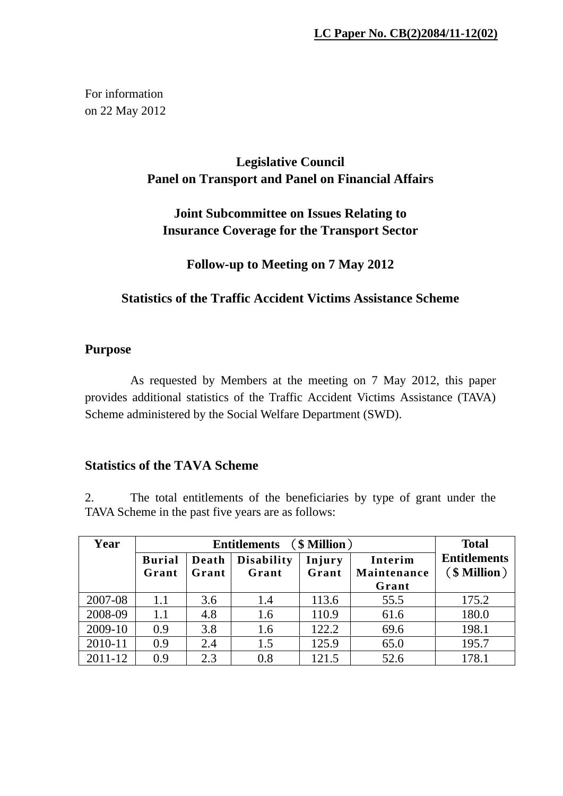For information on 22 May 2012

# **Legislative Council Panel on Transport and Panel on Financial Affairs**

## **Joint Subcommittee on Issues Relating to Insurance Coverage for the Transport Sector**

### **Follow-up to Meeting on 7 May 2012**

### **Statistics of the Traffic Accident Victims Assistance Scheme**

#### **Purpose**

As requested by Members at the meeting on 7 May 2012, this paper provides additional statistics of the Traffic Accident Victims Assistance (TAVA) Scheme administered by the Social Welfare Department (SWD).

#### **Statistics of the TAVA Scheme**

2. The total entitlements of the beneficiaries by type of grant under the TAVA Scheme in the past five years are as follows:

| Year    |                        | <b>Total</b>   |                            |                 |                        |                                          |
|---------|------------------------|----------------|----------------------------|-----------------|------------------------|------------------------------------------|
|         | <b>Burial</b><br>Grant | Death<br>Grant | <b>Disability</b><br>Grant | Injury<br>Grant | Interim<br>Maintenance | <b>Entitlements</b><br>$(\$$ Million $)$ |
| 2007-08 | 1.1                    | 3.6            | 1.4                        | 113.6           | Grant<br>55.5          | 175.2                                    |
| 2008-09 | 1.1                    | 4.8            | 1.6                        | 110.9           | 61.6                   | 180.0                                    |
| 2009-10 | 0.9                    | 3.8            | 1.6                        | 122.2           | 69.6                   | 198.1                                    |
| 2010-11 | 0.9                    | 2.4            | 1.5                        | 125.9           | 65.0                   | 195.7                                    |
| 2011-12 | 0.9                    | 2.3            | 0.8                        | 121.5           | 52.6                   | 178.1                                    |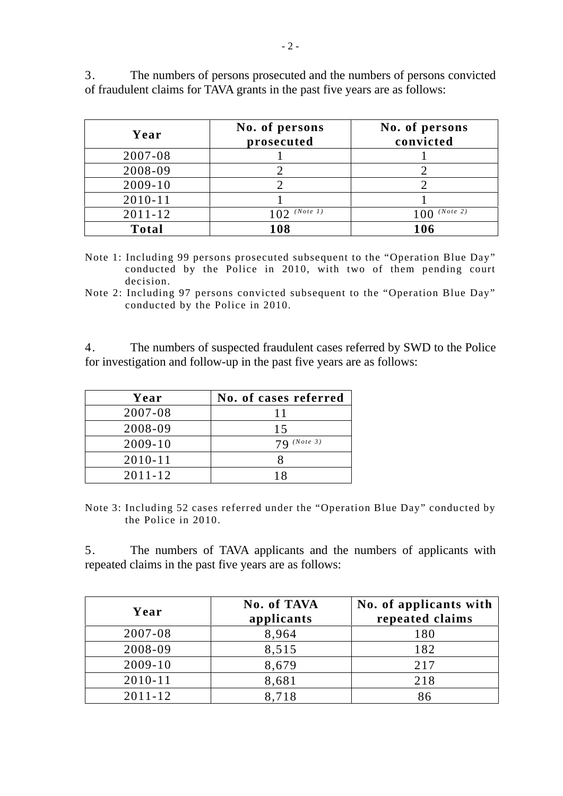| Year        | No. of persons<br>prosecuted | No. of persons<br>convicted |
|-------------|------------------------------|-----------------------------|
| 2007-08     |                              |                             |
| 2008-09     |                              |                             |
| $2009 - 10$ |                              |                             |
| $2010 - 11$ |                              |                             |
| $2011 - 12$ | (Note 1)                     | (Note 2)                    |

3. The numbers of persons prosecuted and the numbers of persons convicted of fraudulent claims for TAVA grants in the past five years are as follows:

Note 1: Including 99 persons prosecuted subsequent to the "Operation Blue Day" conducted by the Police in 2010, with two of them pending court decision.

**Total 108 106** 

Note 2: Including 97 persons convicted subsequent to the "Operation Blue Day" conducted by the Police in 2010.

4. The numbers of suspected fraudulent cases referred by SWD to the Police for investigation and follow-up in the past five years are as follows:

| Year        | No. of cases referred |
|-------------|-----------------------|
| 2007-08     |                       |
| 2008-09     | 15                    |
| $2009 - 10$ | $79$ (Note 3)         |
| $2010 - 11$ |                       |
| $2011 - 12$ |                       |

Note 3: Including 52 cases referred under the "Operation Blue Day" conducted by the Police in 2010.

5. The numbers of TAVA applicants and the numbers of applicants with repeated claims in the past five years are as follows:

| Year        | No. of TAVA<br>applicants | No. of applicants with<br>repeated claims |
|-------------|---------------------------|-------------------------------------------|
| 2007-08     | 8,964                     | 180                                       |
| 2008-09     | 8,515                     | 182                                       |
| $2009 - 10$ | 8,679                     | 217                                       |
| $2010 - 11$ | 8,681                     | 218                                       |
| $2011 - 12$ | 8,718                     | 86                                        |